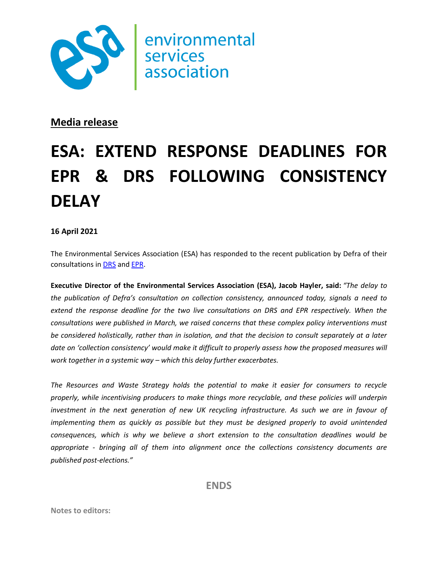

environmental association

## **Media release**

## **ESA: EXTEND RESPONSE DEADLINES FOR EPR & DRS FOLLOWING CONSISTENCY DELAY**

## **16 April 2021**

The Environmental Services Association (ESA) has responded to the recent publication by Defra of their consultations in [DRS](https://www.gov.uk/government/consultations/introduction-of-a-deposit-return-scheme-in-england-wales-and-northern-ireland) an[d EPR.](https://www.gov.uk/government/consultations/packaging-and-packaging-waste-introducing-extended-producer-responsibility)

**Executive Director of the Environmental Services Association (ESA), Jacob Hayler, said:** *"The delay to the publication of Defra's consultation on collection consistency, announced today, signals a need to*  extend the response deadline for the two live consultations on DRS and EPR respectively. When the *consultations were published in March, we raised concerns that these complex policy interventions must be considered holistically, rather than in isolation, and that the decision to consult separately at a later date on 'collection consistency' would make it difficult to properly assess how the proposed measures will work together in a systemic way – which this delay further exacerbates.*

*The Resources and Waste Strategy holds the potential to make it easier for consumers to recycle properly, while incentivising producers to make things more recyclable, and these policies will underpin*  investment in the next generation of new UK recycling infrastructure. As such we are in favour of *implementing them as quickly as possible but they must be designed properly to avoid unintended consequences, which is why we believe a short extension to the consultation deadlines would be appropriate - bringing all of them into alignment once the collections consistency documents are published post-elections."*

**ENDS**

**Notes to editors:**